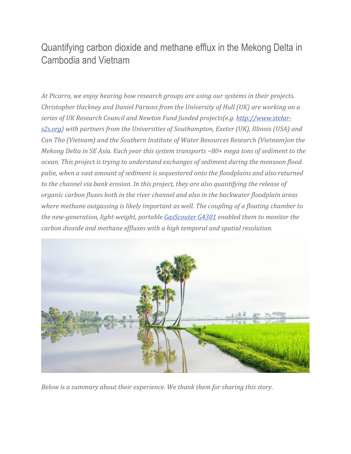## Quantifying carbon dioxide and methane efflux in the Mekong Delta in Cambodia and Vietnam

*At Picarro, we enjoy hearing how research groups are using our systems in their projects. Christopher Hackney and Daniel Parsons from the University of Hull (UK) are working on a series of UK Research Council and Newton Fund funded projects(e.g. [http://www.stelar](http://www.stelar-s2s.org/)[s2s.org\)](http://www.stelar-s2s.org/) with partners from the Universities of Southampton, Exeter (UK), Illinois (USA) and Can Tho (Vietnam) and the Southern Institute of Water Resources Research (Vietnam)on the Mekong Delta in SE Asia. Each year this system transports ~80+ mega tons of sediment to the ocean. This project is trying to understand exchanges of sediment during the monsoon flood pulse, when a vast amount of sediment is sequestered onto the floodplains and also returned to the channel via bank erosion. In this project, they are also quantifying the release of organic carbon fluxes both in the river channel and also in the backwater floodplain areas where methane outgassing is likely important as well. The coupling of a floating chamber to the new-generation, light-weight, portable [GasScouter G4301](https://www.picarro.com/products_solutions/trace_gas_analyzers/mobile_co2_ch4) enabled them to monitor the carbon dioxide and methane effluxes with a high temporal and spatial resolution.*



*Below is a summary about their experience. We thank them for sharing this story.*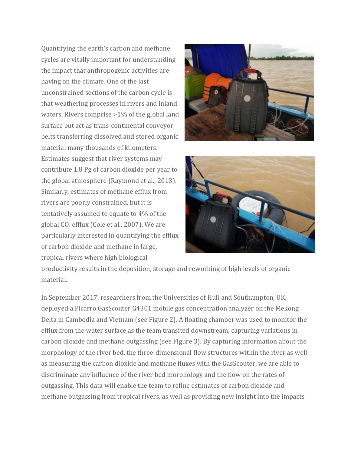Quantifying the earth's carbon and methane cycles are vitally important for understanding the impact that anthropogenic activities are having on the climate. One of the last unconstrained sections of the carbon cycle is that weathering processes in rivers and inland waters. Rivers comprise >1% of the global land surface but act as trans-continental conveyor belts transferring dissolved and stored organic material many thousands of kilometers. Estimates suggest that river systems may contribute 1.8 Pg of carbon dioxide per year to the global atmosphere (Raymond et al., 2013). Similarly, estimates of methane efflux from rivers are poorly constrained, but it is tentatively assumed to equate to 4% of the global  $CO<sub>2</sub>$  efflux (Cole et al., 2007). We are particularly interested in quantifying the efflux of carbon dioxide and methane in large, tropical rivers where high biological





productivity results in the deposition, storage and reworking of high levels of organic material.

In September 2017, researchers from the Universities of Hull and Southampton, UK, deployed a Picarro GasScouter G4301 mobile gas concentration analyzer on the Mekong Delta in Cambodia and Vietnam (see Figure 2). A floating chamber was used to monitor the efflux from the water surface as the team transited downstream, capturing variations in carbon dioxide and methane outgassing (see Figure 3). By capturing information about the morphology of the river bed, the three-dimensional flow structures within the river as well as measuring the carbon dioxide and methane fluxes with the GasScouter, we are able to discriminate any influence of the river bed morphology and the flow on the rates of outgassing. This data will enable the team to refine estimates of carbon dioxide and methane outgassing from tropical rivers, as well as providing new insight into the impacts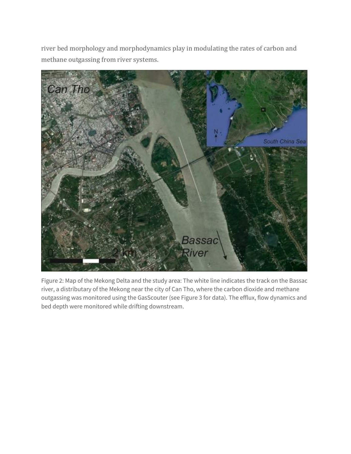river bed morphology and morphodynamics play in modulating the rates of carbon and methane outgassing from river systems.



Figure 2: Map of the Mekong Delta and the study area: The white line indicates the track on the Bassac river, a distributary of the Mekong near the city of Can Tho, where the carbon dioxide and methane outgassing was monitored using the GasScouter (see Figure 3 for data). The efflux, flow dynamics and bed depth were monitored while drifting downstream.